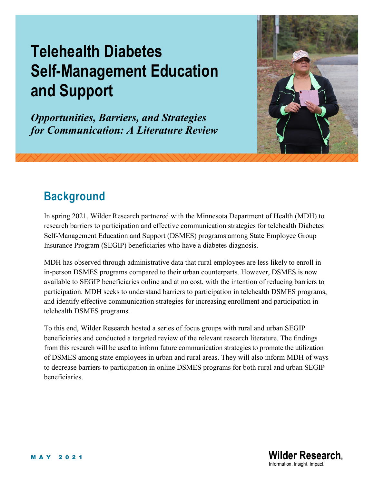# **Telehealth Diabetes Self-Management Education and Support**

*Opportunities, Barriers, and Strategies for Communication: A Literature Review*



# **Background**

In spring 2021, Wilder Research partnered with the Minnesota Department of Health (MDH) to research barriers to participation and effective communication strategies for telehealth Diabetes Self-Management Education and Support (DSMES) programs among State Employee Group Insurance Program (SEGIP) beneficiaries who have a diabetes diagnosis.

MDH has observed through administrative data that rural employees are less likely to enroll in in-person DSMES programs compared to their urban counterparts. However, DSMES is now available to SEGIP beneficiaries online and at no cost, with the intention of reducing barriers to participation. MDH seeks to understand barriers to participation in telehealth DSMES programs, and identify effective communication strategies for increasing enrollment and participation in telehealth DSMES programs.

To this end, Wilder Research hosted a series of focus groups with rural and urban SEGIP beneficiaries and conducted a targeted review of the relevant research literature. The findings from this research will be used to inform future communication strategies to promote the utilization of DSMES among state employees in urban and rural areas. They will also inform MDH of ways to decrease barriers to participation in online DSMES programs for both rural and urban SEGIP beneficiaries.

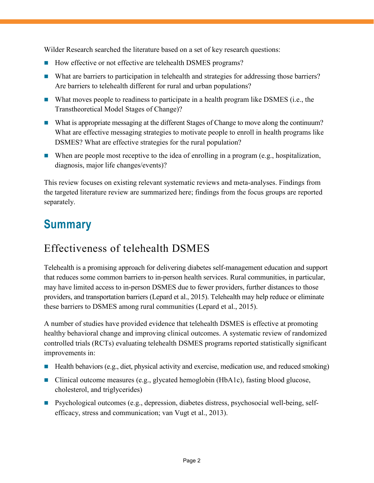Wilder Research searched the literature based on a set of key research questions:

- How effective or not effective are telehealth DSMES programs?
- What are barriers to participation in telehealth and strategies for addressing those barriers? Are barriers to telehealth different for rural and urban populations?
- What moves people to readiness to participate in a health program like DSMES (i.e., the Transtheoretical Model Stages of Change)?
- What is appropriate messaging at the different Stages of Change to move along the continuum? What are effective messaging strategies to motivate people to enroll in health programs like DSMES? What are effective strategies for the rural population?
- When are people most receptive to the idea of enrolling in a program (e.g., hospitalization, diagnosis, major life changes/events)?

This review focuses on existing relevant systematic reviews and meta-analyses. Findings from the targeted literature review are summarized here; findings from the focus groups are reported separately.

# **Summary**

# Effectiveness of telehealth DSMES

Telehealth is a promising approach for delivering diabetes self-management education and support that reduces some common barriers to in-person health services. Rural communities, in particular, may have limited access to in-person DSMES due to fewer providers, further distances to those providers, and transportation barriers (Lepard et al., 2015). Telehealth may help reduce or eliminate these barriers to DSMES among rural communities (Lepard et al., 2015).

A number of studies have provided evidence that telehealth DSMES is effective at promoting healthy behavioral change and improving clinical outcomes. A systematic review of randomized controlled trials (RCTs) evaluating telehealth DSMES programs reported statistically significant improvements in:

- $\blacksquare$  Health behaviors (e.g., diet, physical activity and exercise, medication use, and reduced smoking)
- Clinical outcome measures (e.g., glycated hemoglobin (HbA1c), fasting blood glucose, cholesterol, and triglycerides)
- Psychological outcomes (e.g., depression, diabetes distress, psychosocial well-being, selfefficacy, stress and communication; van Vugt et al., 2013).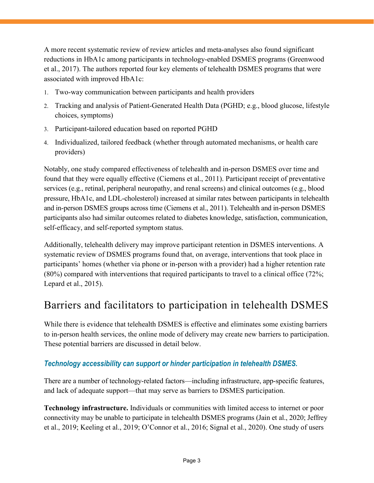A more recent systematic review of review articles and meta-analyses also found significant reductions in HbA1c among participants in technology-enabled DSMES programs (Greenwood et al., 2017). The authors reported four key elements of telehealth DSMES programs that were associated with improved HbA1c:

- 1. Two-way communication between participants and health providers
- 2. Tracking and analysis of Patient-Generated Health Data (PGHD; e.g., blood glucose, lifestyle choices, symptoms)
- 3. Participant-tailored education based on reported PGHD
- 4. Individualized, tailored feedback (whether through automated mechanisms, or health care providers)

Notably, one study compared effectiveness of telehealth and in-person DSMES over time and found that they were equally effective (Ciemens et al., 2011). Participant receipt of preventative services (e.g., retinal, peripheral neuropathy, and renal screens) and clinical outcomes (e.g., blood pressure, HbA1c, and LDL-cholesterol) increased at similar rates between participants in telehealth and in-person DSMES groups across time (Ciemens et al., 2011). Telehealth and in-person DSMES participants also had similar outcomes related to diabetes knowledge, satisfaction, communication, self-efficacy, and self-reported symptom status.

Additionally, telehealth delivery may improve participant retention in DSMES interventions. A systematic review of DSMES programs found that, on average, interventions that took place in participants' homes (whether via phone or in-person with a provider) had a higher retention rate (80%) compared with interventions that required participants to travel to a clinical office (72%; Lepard et al., 2015).

### Barriers and facilitators to participation in telehealth DSMES

While there is evidence that telehealth DSMES is effective and eliminates some existing barriers to in-person health services, the online mode of delivery may create new barriers to participation. These potential barriers are discussed in detail below.

#### *Technology accessibility can support or hinder participation in telehealth DSMES.*

There are a number of technology-related factors—including infrastructure, app-specific features, and lack of adequate support—that may serve as barriers to DSMES participation.

**Technology infrastructure.** Individuals or communities with limited access to internet or poor connectivity may be unable to participate in telehealth DSMES programs (Jain et al., 2020; Jeffrey et al., 2019; Keeling et al., 2019; O'Connor et al., 2016; Signal et al., 2020). One study of users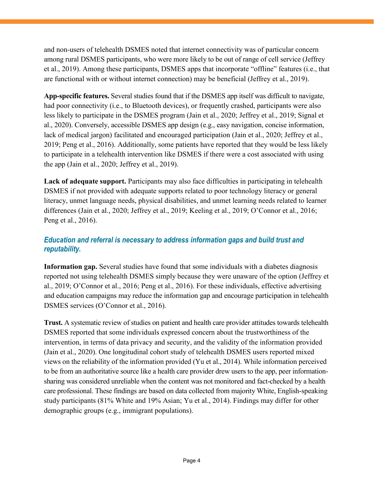and non-users of telehealth DSMES noted that internet connectivity was of particular concern among rural DSMES participants, who were more likely to be out of range of cell service (Jeffrey et al., 2019). Among these participants, DSMES apps that incorporate "offline" features (i.e., that are functional with or without internet connection) may be beneficial (Jeffrey et al., 2019).

**App-specific features.** Several studies found that if the DSMES app itself was difficult to navigate, had poor connectivity (i.e., to Bluetooth devices), or frequently crashed, participants were also less likely to participate in the DSMES program (Jain et al., 2020; Jeffrey et al., 2019; Signal et al., 2020). Conversely, accessible DSMES app design (e.g., easy navigation, concise information, lack of medical jargon) facilitated and encouraged participation (Jain et al., 2020; Jeffrey et al., 2019; Peng et al., 2016). Additionally, some patients have reported that they would be less likely to participate in a telehealth intervention like DSMES if there were a cost associated with using the app (Jain et al., 2020; Jeffrey et al., 2019).

**Lack of adequate support.** Participants may also face difficulties in participating in telehealth DSMES if not provided with adequate supports related to poor technology literacy or general literacy, unmet language needs, physical disabilities, and unmet learning needs related to learner differences (Jain et al., 2020; Jeffrey et al., 2019; Keeling et al., 2019; O'Connor et al., 2016; Peng et al., 2016).

#### *Education and referral is necessary to address information gaps and build trust and reputability.*

**Information gap.** Several studies have found that some individuals with a diabetes diagnosis reported not using telehealth DSMES simply because they were unaware of the option (Jeffrey et al., 2019; O'Connor et al., 2016; Peng et al., 2016). For these individuals, effective advertising and education campaigns may reduce the information gap and encourage participation in telehealth DSMES services (O'Connor et al., 2016).

**Trust.** A systematic review of studies on patient and health care provider attitudes towards telehealth DSMES reported that some individuals expressed concern about the trustworthiness of the intervention, in terms of data privacy and security, and the validity of the information provided (Jain et al., 2020). One longitudinal cohort study of telehealth DSMES users reported mixed views on the reliability of the information provided (Yu et al., 2014). While information perceived to be from an authoritative source like a health care provider drew users to the app, peer informationsharing was considered unreliable when the content was not monitored and fact-checked by a health care professional. These findings are based on data collected from majority White, English-speaking study participants (81% White and 19% Asian; Yu et al., 2014). Findings may differ for other demographic groups (e.g., immigrant populations).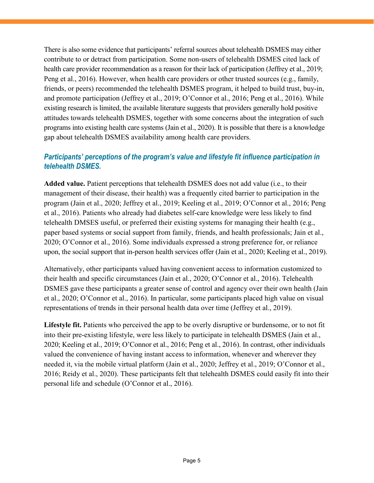There is also some evidence that participants' referral sources about telehealth DSMES may either contribute to or detract from participation. Some non-users of telehealth DSMES cited lack of health care provider recommendation as a reason for their lack of participation (Jeffrey et al., 2019; Peng et al., 2016). However, when health care providers or other trusted sources (e.g., family, friends, or peers) recommended the telehealth DSMES program, it helped to build trust, buy-in, and promote participation (Jeffrey et al., 2019; O'Connor et al., 2016; Peng et al., 2016). While existing research is limited, the available literature suggests that providers generally hold positive attitudes towards telehealth DSMES, together with some concerns about the integration of such programs into existing health care systems (Jain et al., 2020). It is possible that there is a knowledge gap about telehealth DSMES availability among health care providers.

#### *Participants' perceptions of the program's value and lifestyle fit influence participation in telehealth DSMES.*

**Added value.** Patient perceptions that telehealth DSMES does not add value (i.e., to their management of their disease, their health) was a frequently cited barrier to participation in the program (Jain et al., 2020; Jeffrey et al., 2019; Keeling et al., 2019; O'Connor et al., 2016; Peng et al., 2016). Patients who already had diabetes self-care knowledge were less likely to find telehealth DMSES useful, or preferred their existing systems for managing their health (e.g., paper based systems or social support from family, friends, and health professionals; Jain et al., 2020; O'Connor et al., 2016). Some individuals expressed a strong preference for, or reliance upon, the social support that in-person health services offer (Jain et al., 2020; Keeling et al., 2019).

Alternatively, other participants valued having convenient access to information customized to their health and specific circumstances (Jain et al., 2020; O'Connor et al., 2016). Telehealth DSMES gave these participants a greater sense of control and agency over their own health (Jain et al., 2020; O'Connor et al., 2016). In particular, some participants placed high value on visual representations of trends in their personal health data over time (Jeffrey et al., 2019).

**Lifestyle fit.** Patients who perceived the app to be overly disruptive or burdensome, or to not fit into their pre-existing lifestyle, were less likely to participate in telehealth DSMES (Jain et al., 2020; Keeling et al., 2019; O'Connor et al., 2016; Peng et al., 2016). In contrast, other individuals valued the convenience of having instant access to information, whenever and wherever they needed it, via the mobile virtual platform (Jain et al., 2020; Jeffrey et al., 2019; O'Connor et al., 2016; Reidy et al., 2020). These participants felt that telehealth DSMES could easily fit into their personal life and schedule (O'Connor et al., 2016).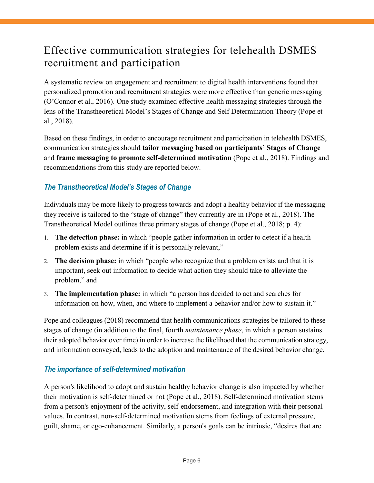### Effective communication strategies for telehealth DSMES recruitment and participation

A systematic review on engagement and recruitment to digital health interventions found that personalized promotion and recruitment strategies were more effective than generic messaging (O'Connor et al., 2016). One study examined effective health messaging strategies through the lens of the Transtheoretical Model's Stages of Change and Self Determination Theory (Pope et al., 2018).

Based on these findings, in order to encourage recruitment and participation in telehealth DSMES, communication strategies should **tailor messaging based on participants' Stages of Change**  and **frame messaging to promote self-determined motivation** (Pope et al., 2018). Findings and recommendations from this study are reported below.

#### *The Transtheoretical Model's Stages of Change*

Individuals may be more likely to progress towards and adopt a healthy behavior if the messaging they receive is tailored to the "stage of change" they currently are in (Pope et al., 2018). The Transtheoretical Model outlines three primary stages of change (Pope et al., 2018; p. 4):

- 1. **The detection phase:** in which "people gather information in order to detect if a health problem exists and determine if it is personally relevant,"
- 2. **The decision phase:** in which "people who recognize that a problem exists and that it is important, seek out information to decide what action they should take to alleviate the problem," and
- 3. **The implementation phase:** in which "a person has decided to act and searches for information on how, when, and where to implement a behavior and/or how to sustain it."

Pope and colleagues (2018) recommend that health communications strategies be tailored to these stages of change (in addition to the final, fourth *maintenance phase*, in which a person sustains their adopted behavior over time) in order to increase the likelihood that the communication strategy, and information conveyed, leads to the adoption and maintenance of the desired behavior change.

#### *The importance of self-determined motivation*

A person's likelihood to adopt and sustain healthy behavior change is also impacted by whether their motivation is self-determined or not (Pope et al., 2018). Self-determined motivation stems from a person's enjoyment of the activity, self-endorsement, and integration with their personal values. In contrast, non-self-determined motivation stems from feelings of external pressure, guilt, shame, or ego-enhancement. Similarly, a person's goals can be intrinsic, "desires that are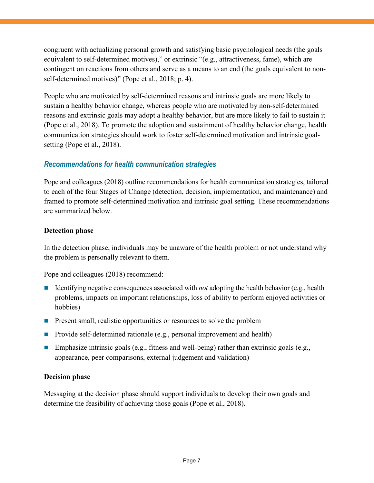congruent with actualizing personal growth and satisfying basic psychological needs (the goals equivalent to self-determined motives)," or extrinsic "(e.g., attractiveness, fame), which are contingent on reactions from others and serve as a means to an end (the goals equivalent to nonself-determined motives)" (Pope et al., 2018; p. 4).

People who are motivated by self-determined reasons and intrinsic goals are more likely to sustain a healthy behavior change, whereas people who are motivated by non-self-determined reasons and extrinsic goals may adopt a healthy behavior, but are more likely to fail to sustain it (Pope et al., 2018). To promote the adoption and sustainment of healthy behavior change, health communication strategies should work to foster self-determined motivation and intrinsic goalsetting (Pope et al., 2018).

#### *Recommendations for health communication strategies*

Pope and colleagues (2018) outline recommendations for health communication strategies, tailored to each of the four Stages of Change (detection, decision, implementation, and maintenance) and framed to promote self-determined motivation and intrinsic goal setting. These recommendations are summarized below.

#### **Detection phase**

In the detection phase, individuals may be unaware of the health problem or not understand why the problem is personally relevant to them.

Pope and colleagues (2018) recommend:

- Identifying negative consequences associated with *not* adopting the health behavior (e.g., health problems, impacts on important relationships, loss of ability to perform enjoyed activities or hobbies)
- **Present small, realistic opportunities or resources to solve the problem**
- **Provide self-determined rationale (e.g., personal improvement and health)**
- **Emphasize intrinsic goals (e.g., fitness and well-being) rather than extrinsic goals (e.g.,** appearance, peer comparisons, external judgement and validation)

#### **Decision phase**

Messaging at the decision phase should support individuals to develop their own goals and determine the feasibility of achieving those goals (Pope et al., 2018).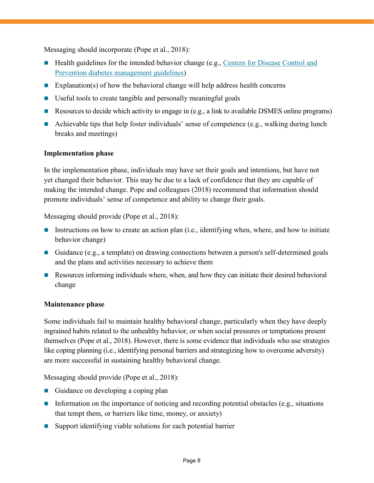Messaging should incorporate (Pope et al., 2018):

- **Health guidelines for the intended behavior change (e.g., Centers for Disease Control and** [Prevention diabetes management guidelines\)](https://www.cdc.gov/diabetes/managing/index.html)
- Explanation(s) of how the behavioral change will help address health concerns
- Useful tools to create tangible and personally meaningful goals
- Resources to decide which activity to engage in (e.g., a link to available DSMES online programs)
- Achievable tips that help foster individuals' sense of competence (e.g., walking during lunch breaks and meetings)

#### **Implementation phase**

In the implementation phase, individuals may have set their goals and intentions, but have not yet changed their behavior. This may be due to a lack of confidence that they are capable of making the intended change. Pope and colleagues (2018) recommend that information should promote individuals' sense of competence and ability to change their goals.

Messaging should provide (Pope et al., 2018):

- Instructions on how to create an action plan (i.e., identifying when, where, and how to initiate behavior change)
- Guidance (e.g., a template) on drawing connections between a person's self-determined goals and the plans and activities necessary to achieve them
- Resources informing individuals where, when, and how they can initiate their desired behavioral change

#### **Maintenance phase**

Some individuals fail to maintain healthy behavioral change, particularly when they have deeply ingrained habits related to the unhealthy behavior, or when social pressures or temptations present themselves (Pope et al., 2018). However, there is some evidence that individuals who use strategies like coping planning (i.e., identifying personal barriers and strategizing how to overcome adversity) are more successful in sustaining healthy behavioral change.

Messaging should provide (Pope et al., 2018):

- Guidance on developing a coping plan
- Information on the importance of noticing and recording potential obstacles (e.g., situations that tempt them, or barriers like time, money, or anxiety)
- Support identifying viable solutions for each potential barrier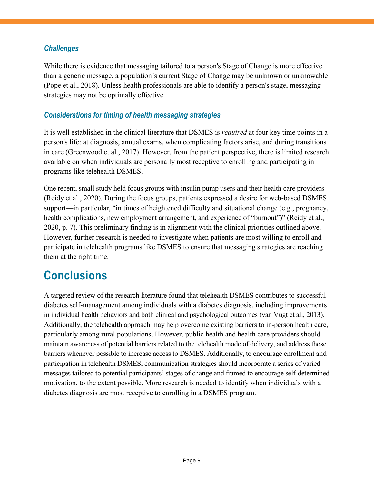#### *Challenges*

While there is evidence that messaging tailored to a person's Stage of Change is more effective than a generic message, a population's current Stage of Change may be unknown or unknowable (Pope et al., 2018). Unless health professionals are able to identify a person's stage, messaging strategies may not be optimally effective.

#### *Considerations for timing of health messaging strategies*

It is well established in the clinical literature that DSMES is *required* at four key time points in a person's life: at diagnosis, annual exams, when complicating factors arise, and during transitions in care (Greenwood et al., 2017). However, from the patient perspective, there is limited research available on when individuals are personally most receptive to enrolling and participating in programs like telehealth DSMES.

One recent, small study held focus groups with insulin pump users and their health care providers (Reidy et al., 2020). During the focus groups, patients expressed a desire for web-based DSMES support—in particular, "in times of heightened difficulty and situational change (e.g., pregnancy, health complications, new employment arrangement, and experience of "burnout")" (Reidy et al., 2020, p. 7). This preliminary finding is in alignment with the clinical priorities outlined above. However, further research is needed to investigate when patients are most willing to enroll and participate in telehealth programs like DSMES to ensure that messaging strategies are reaching them at the right time.

# **Conclusions**

A targeted review of the research literature found that telehealth DSMES contributes to successful diabetes self-management among individuals with a diabetes diagnosis, including improvements in individual health behaviors and both clinical and psychological outcomes (van Vugt et al., 2013). Additionally, the telehealth approach may help overcome existing barriers to in-person health care, particularly among rural populations. However, public health and health care providers should maintain awareness of potential barriers related to the telehealth mode of delivery, and address those barriers whenever possible to increase access to DSMES. Additionally, to encourage enrollment and participation in telehealth DSMES, communication strategies should incorporate a series of varied messages tailored to potential participants' stages of change and framed to encourage self-determined motivation, to the extent possible. More research is needed to identify when individuals with a diabetes diagnosis are most receptive to enrolling in a DSMES program.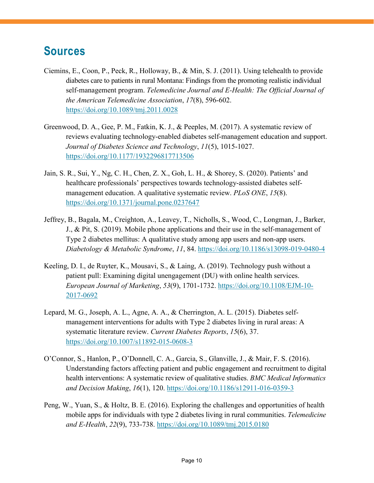# **Sources**

- Ciemins, E., Coon, P., Peck, R., Holloway, B., & Min, S. J. (2011). Using telehealth to provide diabetes care to patients in rural Montana: Findings from the promoting realistic individual self-management program. *Telemedicine Journal and E-Health: The Official Journal of the American Telemedicine Association*, *17*(8), 596-602. https://doi.org/10.1089/tmj.2011.0028
- Greenwood, D. A., Gee, P. M., Fatkin, K. J., & Peeples, M. (2017). A systematic review of reviews evaluating technology-enabled diabetes self-management education and support. *Journal of Diabetes Science and Technology*, *11*(5), 1015-1027. <https://doi.org/10.1177/1932296817713506>
- Jain, S. R., Sui, Y., Ng, C. H., Chen, Z. X., Goh, L. H., & Shorey, S. (2020). Patients' and healthcare professionals' perspectives towards technology-assisted diabetes selfmanagement education. A qualitative systematic review. *PLoS ONE*, *15*(8). https://doi.org/10.1371/journal.pone.0237647
- Jeffrey, B., Bagala, M., Creighton, A., Leavey, T., Nicholls, S., Wood, C., Longman, J., Barker, J., & Pit, S. (2019). Mobile phone applications and their use in the self-management of Type 2 diabetes mellitus: A qualitative study among app users and non-app users. *Diabetology & Metabolic Syndrome*, *11*, 84. https://doi.org/10.1186/s13098-019-0480-4
- Keeling, D. I., de Ruyter, K., Mousavi, S., & Laing, A. (2019). Technology push without a patient pull: Examining digital unengagement (DU) with online health services. *European Journal of Marketing*, *53*(9), 1701-1732. https://doi.org/10.1108/EJM-10- 2017-0692
- Lepard, M. G., Joseph, A. L., Agne, A. A., & Cherrington, A. L. (2015). Diabetes selfmanagement interventions for adults with Type 2 diabetes living in rural areas: A systematic literature review. *Current Diabetes Reports*, *15*(6), 37. https://doi.org/10.1007/s11892-015-0608-3
- O'Connor, S., Hanlon, P., O'Donnell, C. A., Garcia, S., Glanville, J., & Mair, F. S. (2016). Understanding factors affecting patient and public engagement and recruitment to digital health interventions: A systematic review of qualitative studies. *BMC Medical Informatics and Decision Making*, *16*(1), 120. https://doi.org/10.1186/s12911-016-0359-3
- Peng, W., Yuan, S., & Holtz, B. E. (2016). Exploring the challenges and opportunities of health mobile apps for individuals with type 2 diabetes living in rural communities. *Telemedicine and E-Health*, *22*(9), 733-738. https://doi.org/10.1089/tmj.2015.0180